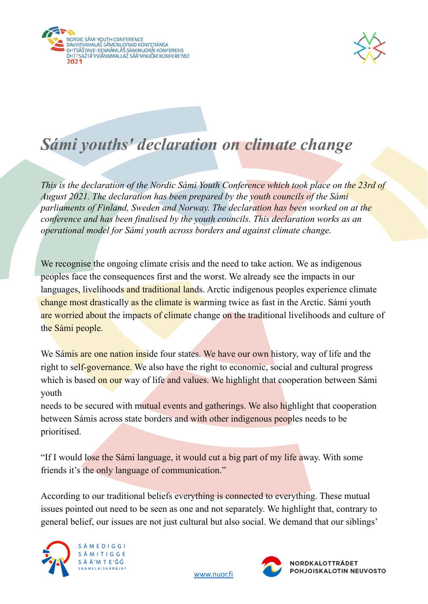



## *Sámi youths' declaration on climate change*

*This is the declaration of the Nordic Sámi Youth Conference which took place on the 23rd of August 2021. The declaration has been prepared by the youth councils of the Sámi parliaments of Finland, Sweden and Norway. The declaration has been worked on at the conference and has been finalised by the youth councils. This declaration works as an operational model for Sámi youth across borders and against climate change.*

We recognise the ongoing climate crisis and the need to take action. We as indigenous peoples face the consequences first and the worst. We already see the impacts in our languages, livelihoods and traditional lands. Arctic indigenous peoples experience climate change most drastically as the climate is warming twice as fast in the Arctic. Sámi youth are worried about the impacts of climate change on the traditional livelihoods and culture of the Sámi people.

We Samis are one nation inside four states. We have our own history, way of life and the right to self-governance. We also have the right to economic, social and cultural progress which is based on our way of life and values. We highlight that cooperation between Sámi youth

needs to be secured with mutual events and gatherings. We also highlight that cooperation between Sámis across state borders and with other indigenous peoples needs to be prioritised.

"If I would lose the Sámi language, it would cut a big part of my life away. With some friends it's the only language of communication."

According to our traditional beliefs everything is connected to everything. These mutual issues pointed out need to be seen as one and not separately. We highlight that, contrary to general belief, our issues are not just cultural but also social. We demand that our siblings'



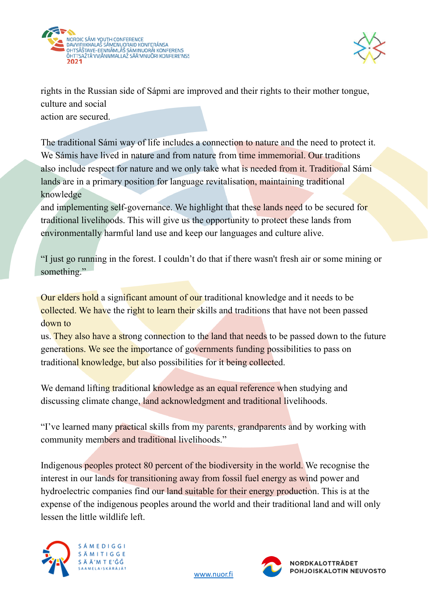



rights in the Russian side of Sápmi are improved and their rights to their mother tongue, culture and social action are secured.

The traditional Sámi way of life includes a connection to nature and the need to protect it. We Sámis have lived in nature and from nature from time immemorial. Our traditions also include respect for nature and we only take what is needed from it. Traditional Sámi lands are in a primary position for language revitalisation, maintaining traditional knowledge

and implementing self-governance. We highlight that these lands need to be secured for traditional livelihoods. This will give us the opportunity to protect these lands from environmentally harmful land use and keep our languages and culture alive.

"I just go running in the forest. I couldn't do that if there wasn't fresh air or some mining or something."

Our elders hold a significant amount of our traditional knowledge and it needs to be collected. We have the right to learn their skills and traditions that have not been passed down to

us. They also have a strong connection to the land that needs to be passed down to the future generations. We see the importance of governments funding possibilities to pass on traditional knowledge, but also possibilities for it being collected.

We demand lifting traditional knowledge as an equal reference when studying and discussing climate change, land acknowledgment and traditional livelihoods.

"I've learned many practical skills from my parents, grandparents and by working with community members and traditional livelihoods."

Indigenous peoples protect 80 percent of the biodiversity in the world. We recognise the interest in our lands for transitioning away from fossil fuel energy as wind power and hydroelectric companies find our land suitable for their energy production. This is at the expense of the indigenous peoples around the world and their traditional land and will only lessen the little wildlife left.



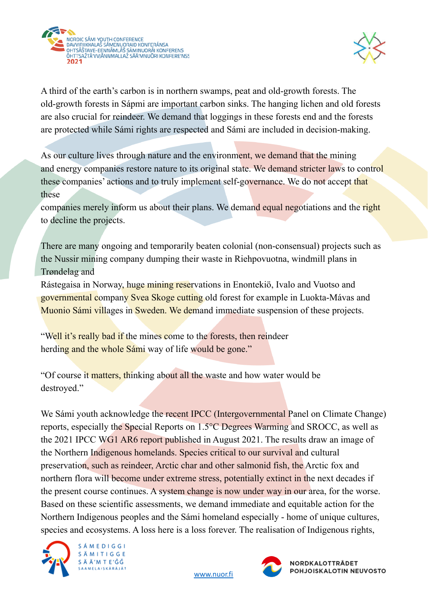



A third of the earth's carbon is in northern swamps, peat and old-growth forests. The old-growth forests in Sápmi are important carbon sinks. The hanging lichen and old forests are also crucial for reindeer. We demand that loggings in these forests end and the forests are protected while Sámi rights are respected and Sámi are included in decision-making.

As our culture lives through nature and the environment, we demand that the mining and energy companies restore nature to its original state. We demand stricter laws to control these companies' actions and to truly implement self-governance. We do not accept that these

companies merely inform us about their plans. We demand equal negotiations and the right to decline the projects.

There are many ongoing and temporarily beaten colonial (non-consensual) projects such as the Nussir mining company dumping their waste in Riehpovuotna, windmill plans in Trøndelag and

Rástegaisa in Norway, huge mining reservations in Enontekiö, Ivalo and Vuotso and governmental company Svea Skoge cutting old forest for example in Luokta-Mávas and Muonio Sámi villages in Sweden. We demand immediate suspension of these projects.

"Well it's really bad if the mines come to the forests, then reindeer herding and the whole Sámi way of life would be gone."

"Of course it matters, thinking about all the waste and how water would be destroyed."

We Sámi youth acknowledge the recent IPCC (Intergovernmental Panel on Climate Change) reports, especially the Special Reports on 1.5°C Degrees Warming and SROCC, as well as the 2021 IPCC WG1 AR6 report published in August 2021. The results draw an image of the Northern Indigenous homelands. Species critical to our survival and cultural preservation, such as reindeer, Arctic char and other salmonid fish, the Arctic fox and northern flora will become under extreme stress, potentially extinct in the next decades if the present course continues. A system change is now under way in our area, for the worse. Based on these scientific assessments, we demand immediate and equitable action for the Northern Indigenous peoples and the Sámi homeland especially - home of unique cultures, species and ecosystems. A loss here is a loss forever. The realisation of Indigenous rights,



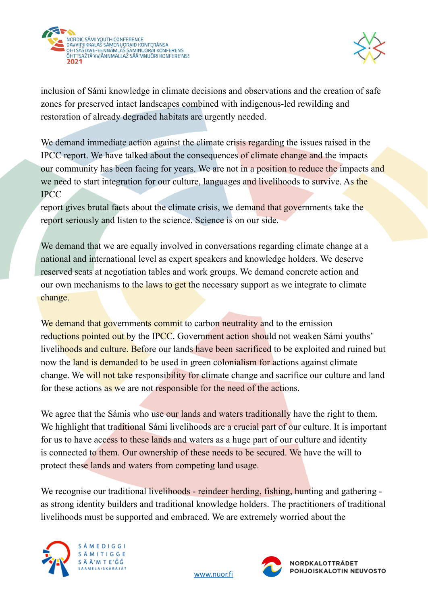



inclusion of Sámi knowledge in climate decisions and observations and the creation of safe zones for preserved intact landscapes combined with indigenous-led rewilding and restoration of already degraded habitats are urgently needed.

We demand immediate action against the climate crisis regarding the issues raised in the IPCC report. We have talked about the consequences of climate change and the impacts our community has been facing for years. We are not in a position to reduce the impacts and we need to start integration for our culture, languages and livelihoods to survive. As the IPCC

report gives brutal facts about the climate crisis, we demand that governments take the report seriously and listen to the science. Science is on our side.

We demand that we are equally involved in conversations regarding climate change at a national and international level as expert speakers and knowledge holders. We deserve reserved seats at negotiation tables and work groups. We demand concrete action and our own mechanisms to the laws to get the necessary support as we integrate to climate change.

We demand that governments commit to carbon neutrality and to the emission reductions pointed out by the IPCC. Government action should not weaken Sámi youths' livelihoods and culture. Before our lands have been sacrificed to be exploited and ruined but now the land is demanded to be used in green colonialism for actions against climate change. We will not take responsibility for climate change and sacrifice our culture and land for these actions as we are not responsible for the need of the actions.

We agree that the Sámis who use our lands and waters traditionally have the right to them. We highlight that traditional Sámi livelihoods are a crucial part of our culture. It is important for us to have access to these lands and waters as a huge part of our culture and identity is connected to them. Our ownership of these needs to be secured. We have the will to protect these lands and waters from competing land usage.

We recognise our traditional livelihoods - reindeer herding, fishing, hunting and gathering as strong identity builders and traditional knowledge holders. The practitioners of traditional livelihoods must be supported and embraced. We are extremely worried about the



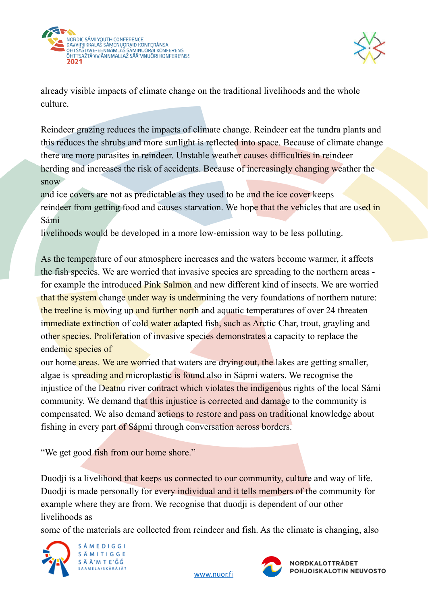



already visible impacts of climate change on the traditional livelihoods and the whole culture.

Reindeer grazing reduces the impacts of climate change. Reindeer eat the tundra plants and this reduces the shrubs and more sunlight is reflected into space. Because of climate change there are more parasites in reindeer. Unstable weather causes difficulties in reindeer herding and increases the risk of accidents. Because of increasingly changing weather the snow

and ice covers are not as predictable as they used to be and the ice cover keeps reindeer from getting food and causes starvation. We hope that the vehicles that are used in Sámi

livelihoods would be developed in a more low-emission way to be less polluting.

As the temperature of our atmosphere increases and the waters become warmer, it affects the fish species. We are worried that invasive species are spreading to the northern areas for example the introduced Pink Salmon and new different kind of insects. We are worried that the system change under way is undermining the very foundations of northern nature: the treeline is moving up and further north and aquatic temperatures of over 24 threaten immediate extinction of cold water adapted fish, such as Arctic Char, trout, grayling and other species. Proliferation of invasive species demonstrates a capacity to replace the endemic species of

our home areas. We are worried that waters are drying out, the lakes are getting smaller, algae is spreading and microplastic is found also in Sápmi waters. We recognise the injustice of the Deatnu river contract which violates the indigenous rights of the local Sámi community. We demand that this injustice is corrected and damage to the community is compensated. We also demand actions to restore and pass on traditional knowledge about fishing in every part of Sápmi through conversation across borders.

"We get good fish from our home shore."

Duodji is a livelihood that keeps us connected to our community, culture and way of life. Duodii is made personally for every individual and it tells members of the community for example where they are from. We recognise that duodji is dependent of our other livelihoods as

some of the materials are collected from reindeer and fish. As the climate is changing, also





NORDKALOTTRÅDET POHJOISKALOTIN NEUVOSTO

[www.nuor.fi](http://www.nuor.fi)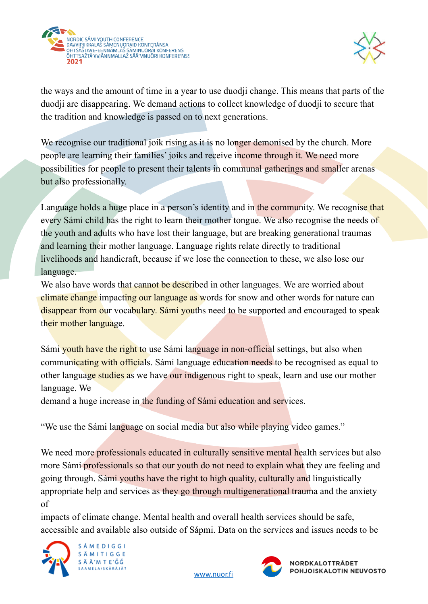



the ways and the amount of time in a year to use duodji change. This means that parts of the duodji are disappearing. We demand actions to collect knowledge of duodji to secure that the tradition and knowledge is passed on to next generations.

We recognise our traditional joik rising as it is no longer demonised by the church. More people are learning their families' joiks and receive income through it. We need more possibilities for people to present their talents in communal gatherings and smaller arenas but also professionally.

Language holds a huge place in a person's identity and in the community. We recognise that every Sámi child has the right to learn their mother tongue. We also recognise the needs of the youth and adults who have lost their language, but are breaking generational traumas and learning their mother language. Language rights relate directly to traditional livelihoods and handicraft, because if we lose the connection to these, we also lose our language.

We also have words that cannot be described in other languages. We are worried about climate change impacting our language as words for snow and other words for nature can disappear from our vocabulary. Sámi youths need to be supported and encouraged to speak their mother language.

Sámi youth have the right to use Sámi language in non-official settings, but also when communicating with officials. Sámi language education needs to be recognised as equal to other language studies as we have our indigenous right to speak, learn and use our mother language. We

demand a huge increase in the funding of Sámi education and services.

"We use the Sámi language on social media but also while playing video games."

We need more professionals educated in culturally sensitive mental health services but also more Sámi professionals so that our youth do not need to explain what they are feeling and going through. Sámi youths have the right to high quality, culturally and linguistically appropriate help and services as they go through multigenerational trauma and the anxiety of

impacts of climate change. Mental health and overall health services should be safe, accessible and available also outside of Sápmi. Data on the services and issues needs to be





[www.nuor.fi](http://www.nuor.fi)